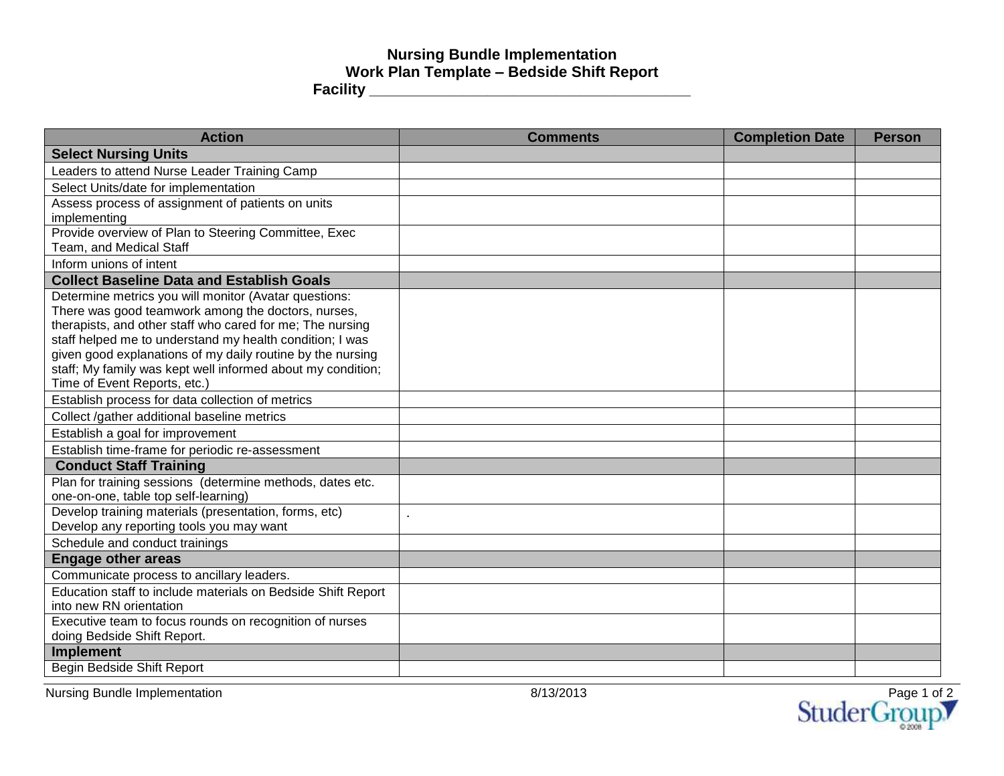## **Nursing Bundle Implementation Work Plan Template – Bedside Shift Report Facility \_\_\_\_\_\_\_\_\_\_\_\_\_\_\_\_\_\_\_\_\_\_\_\_\_\_\_\_\_\_\_\_\_\_\_\_\_\_**

| <b>Action</b>                                                                                                         | <b>Comments</b> | <b>Completion Date</b> | <b>Person</b> |
|-----------------------------------------------------------------------------------------------------------------------|-----------------|------------------------|---------------|
| <b>Select Nursing Units</b>                                                                                           |                 |                        |               |
| Leaders to attend Nurse Leader Training Camp                                                                          |                 |                        |               |
| Select Units/date for implementation                                                                                  |                 |                        |               |
| Assess process of assignment of patients on units                                                                     |                 |                        |               |
| implementing                                                                                                          |                 |                        |               |
| Provide overview of Plan to Steering Committee, Exec                                                                  |                 |                        |               |
| Team, and Medical Staff                                                                                               |                 |                        |               |
| Inform unions of intent                                                                                               |                 |                        |               |
| <b>Collect Baseline Data and Establish Goals</b>                                                                      |                 |                        |               |
| Determine metrics you will monitor (Avatar questions:                                                                 |                 |                        |               |
| There was good teamwork among the doctors, nurses,                                                                    |                 |                        |               |
| therapists, and other staff who cared for me; The nursing<br>staff helped me to understand my health condition; I was |                 |                        |               |
| given good explanations of my daily routine by the nursing                                                            |                 |                        |               |
| staff; My family was kept well informed about my condition;                                                           |                 |                        |               |
| Time of Event Reports, etc.)                                                                                          |                 |                        |               |
| Establish process for data collection of metrics                                                                      |                 |                        |               |
| Collect /gather additional baseline metrics                                                                           |                 |                        |               |
| Establish a goal for improvement                                                                                      |                 |                        |               |
| Establish time-frame for periodic re-assessment                                                                       |                 |                        |               |
| <b>Conduct Staff Training</b>                                                                                         |                 |                        |               |
| Plan for training sessions (determine methods, dates etc.                                                             |                 |                        |               |
| one-on-one, table top self-learning)                                                                                  |                 |                        |               |
| Develop training materials (presentation, forms, etc)                                                                 | $\blacksquare$  |                        |               |
| Develop any reporting tools you may want                                                                              |                 |                        |               |
| Schedule and conduct trainings                                                                                        |                 |                        |               |
| <b>Engage other areas</b>                                                                                             |                 |                        |               |
| Communicate process to ancillary leaders.                                                                             |                 |                        |               |
| Education staff to include materials on Bedside Shift Report                                                          |                 |                        |               |
| into new RN orientation                                                                                               |                 |                        |               |
| Executive team to focus rounds on recognition of nurses                                                               |                 |                        |               |
| doing Bedside Shift Report.<br><b>Implement</b>                                                                       |                 |                        |               |
| Begin Bedside Shift Report                                                                                            |                 |                        |               |
|                                                                                                                       |                 |                        |               |